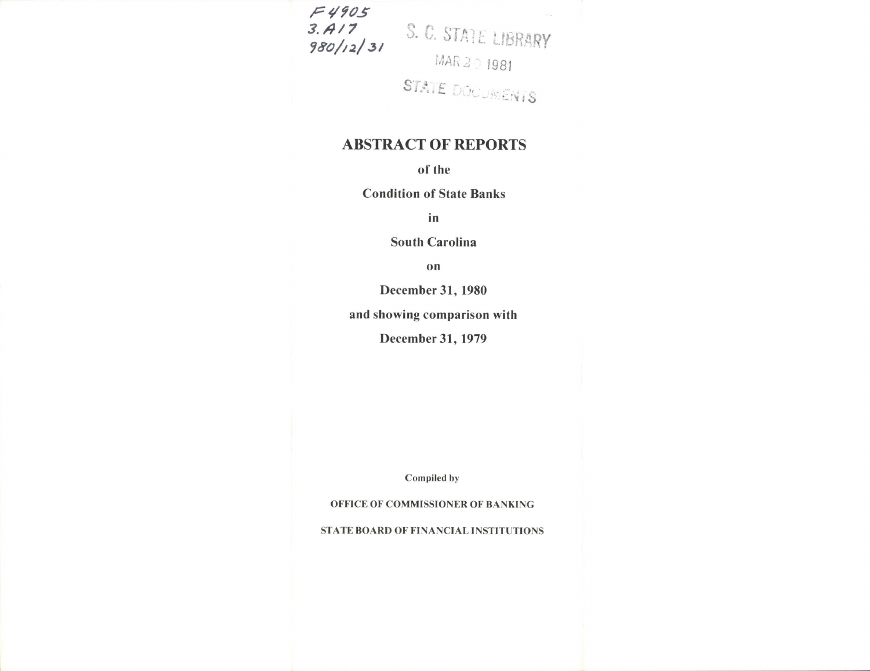$5.417$ <br>  $3.617$ <br>  $3.717$ <br>  $3.657$  ATE LIBRARY<br>
MAR 201981<br>
STATE DOCUMENTS

## **ABSTRACT OF REPORTS**

of the

**Condition of State Banks** 

in

**South Carolina** 

on

December 31, 1980

and showing comparison with

December 31, 1979

Compiled by

OFFICE OF COMMISSIONER OF BANKING

STATE BOARD OF FINANCIAL INSTITUTIONS